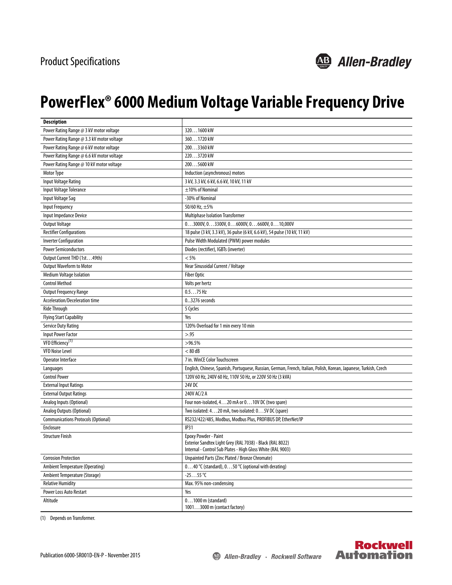

## **PowerFlex® 6000 Medium Voltage Variable Frequency Drive**

| <b>Description</b>                         |                                                                                                                          |
|--------------------------------------------|--------------------------------------------------------------------------------------------------------------------------|
| Power Rating Range @ 3 kV motor voltage    | 3201600 kW                                                                                                               |
| Power Rating Range @ 3.3 kV motor voltage  | 3601720 kW                                                                                                               |
| Power Rating Range @ 6 kV motor voltage    | 2003360 kW                                                                                                               |
| Power Rating Range @ 6.6 kV motor voltage  | 2203720 kW                                                                                                               |
| Power Rating Range @ 10 kV motor voltage   | 2005600 kW                                                                                                               |
| Motor Type                                 | Induction (asynchronous) motors                                                                                          |
| Input Voltage Rating                       | 3 kV, 3.3 kV, 6 kV, 6.6 kV, 10 kV, 11 kV                                                                                 |
| Input Voltage Tolerance                    | $\pm$ 10% of Nominal                                                                                                     |
| <b>Input Voltage Sag</b>                   | -30% of Nominal                                                                                                          |
| <b>Input Frequency</b>                     | 50/60 Hz, $\pm$ 5%                                                                                                       |
| Input Impedance Device                     | <b>Multiphase Isolation Transformer</b>                                                                                  |
| <b>Output Voltage</b>                      | $03000V, 03300V, 06000V, 06600V, 010,000V$                                                                               |
| <b>Rectifier Configurations</b>            | 18 pulse (3 kV, 3.3 kV), 36 pulse (6 kV, 6.6 kV), 54 pulse (10 kV, 11 kV)                                                |
| <b>Inverter Configuration</b>              | Pulse Width Modulated (PWM) power modules                                                                                |
| <b>Power Semiconductors</b>                | Diodes (rectifier), IGBTs (inverter)                                                                                     |
| Output Current THD (1st49th)               | < 5%                                                                                                                     |
| <b>Output Waveform to Motor</b>            | Near Sinusoidal Current / Voltage                                                                                        |
| <b>Medium Voltage Isolation</b>            | <b>Fiber Optic</b>                                                                                                       |
| <b>Control Method</b>                      | Volts per hertz                                                                                                          |
| <b>Output Frequency Range</b>              | $0.575$ Hz                                                                                                               |
| Acceleration/Deceleration time             | 03276 seconds                                                                                                            |
| Ride Through                               | 5 Cycles                                                                                                                 |
| <b>Flying Start Capability</b>             | Yes                                                                                                                      |
| <b>Service Duty Rating</b>                 | 120% Overload for 1 min every 10 min                                                                                     |
| <b>Input Power Factor</b>                  | > .95                                                                                                                    |
| VFD Efficiency <sup>(1)</sup>              | $>96.5\%$                                                                                                                |
| <b>VFD Noise Level</b>                     | $< 80$ dB                                                                                                                |
| Operator Interface                         | 7 in. WinCE Color Touchscreen                                                                                            |
| Languages                                  | English, Chinese, Spanish, Portuguese, Russian, German, French, Italian, Polish, Korean, Japanese, Turkish, Czech        |
| <b>Control Power</b>                       | 120V 60 Hz, 240V 60 Hz, 110V 50 Hz, or 220V 50 Hz (3 kVA)                                                                |
| <b>External Input Ratings</b>              | 24V DC                                                                                                                   |
| <b>External Output Ratings</b>             | 240V AC/2 A                                                                                                              |
| Analog Inputs (Optional)                   | Four non-isolated, 420 mA or 010V DC (two spare)                                                                         |
| Analog Outputs (Optional)                  | Two isolated: 420 mA, two isolated: 05V DC (spare)                                                                       |
| <b>Communications Protocols (Optional)</b> | RS232/422/485, Modbus, Modbus Plus, PROFIBUS DP, EtherNet/IP                                                             |
| Enclosure                                  | <b>IP31</b>                                                                                                              |
| <b>Structure Finish</b>                    | <b>Epoxy Powder - Paint</b>                                                                                              |
|                                            | Exterior Sandtex Light Grey (RAL 7038) - Black (RAL 8022)<br>Internal - Control Sub Plates - High Gloss White (RAL 9003) |
| <b>Corrosion Protection</b>                | Unpainted Parts (Zinc Plated / Bronze Chromate)                                                                          |
| Ambient Temperature (Operating)            | 040 °C (standard), 050 °C (optional with derating)                                                                       |
| Ambient Temperature (Storage)              | $-2555$ °C                                                                                                               |
| <b>Relative Humidity</b>                   | Max. 95% non-condensing                                                                                                  |
| Power Loss Auto Restart                    | Yes                                                                                                                      |
| Altitude                                   | $01000$ m (standard)                                                                                                     |
|                                            | 10013000 m (contact factory)                                                                                             |

(1) Depends on Transformer.